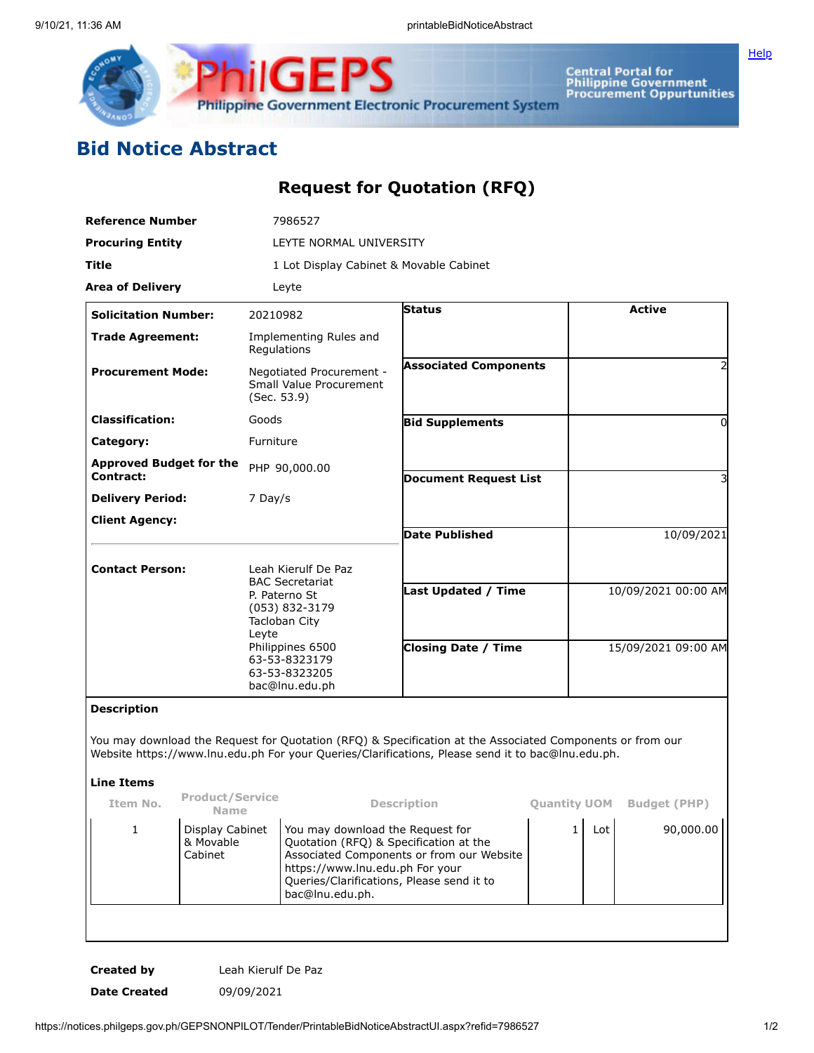

Central Portal for<br>Philippine Government<br>Procurement Oppurtunities

**[Help](javascript:void(window.open()** 

## **Bid Notice Abstract**

## **Request for Quotation (RFQ)**

| <b>Reference Number</b><br><b>Procuring Entity</b><br>Title<br><b>Area of Delivery</b> |                                         | 7986527<br>LEYTE NORMAL UNIVERSITY<br>1 Lot Display Cabinet & Movable Cabinet                                                                                                      |               |                                                                                                                                                                                                                |                        |                     |                     |                             |  |          |  |               |  |
|----------------------------------------------------------------------------------------|-----------------------------------------|------------------------------------------------------------------------------------------------------------------------------------------------------------------------------------|---------------|----------------------------------------------------------------------------------------------------------------------------------------------------------------------------------------------------------------|------------------------|---------------------|---------------------|-----------------------------|--|----------|--|---------------|--|
|                                                                                        |                                         |                                                                                                                                                                                    |               |                                                                                                                                                                                                                |                        |                     |                     | Leyte                       |  |          |  |               |  |
|                                                                                        |                                         |                                                                                                                                                                                    |               |                                                                                                                                                                                                                |                        |                     |                     | <b>Solicitation Number:</b> |  | 20210982 |  | <b>Status</b> |  |
|                                                                                        |                                         | <b>Trade Agreement:</b>                                                                                                                                                            |               | Regulations                                                                                                                                                                                                    | Implementing Rules and |                     |                     |                             |  |          |  |               |  |
| <b>Procurement Mode:</b>                                                               |                                         | Negotiated Procurement -<br>Small Value Procurement<br>(Sec. 53.9)                                                                                                                 |               | <b>Associated Components</b>                                                                                                                                                                                   |                        |                     | 2                   |                             |  |          |  |               |  |
| <b>Classification:</b>                                                                 |                                         | Goods                                                                                                                                                                              |               | <b>Bid Supplements</b>                                                                                                                                                                                         |                        |                     | $\Omega$            |                             |  |          |  |               |  |
| Category:                                                                              |                                         | Furniture                                                                                                                                                                          |               |                                                                                                                                                                                                                |                        |                     |                     |                             |  |          |  |               |  |
| <b>Approved Budget for the</b><br>Contract:                                            |                                         |                                                                                                                                                                                    | PHP 90,000.00 | <b>Document Request List</b>                                                                                                                                                                                   |                        |                     |                     |                             |  |          |  |               |  |
| <b>Delivery Period:</b>                                                                |                                         | 7 Day/s                                                                                                                                                                            |               |                                                                                                                                                                                                                |                        |                     |                     |                             |  |          |  |               |  |
| <b>Client Agency:</b>                                                                  |                                         |                                                                                                                                                                                    |               | <b>Date Published</b>                                                                                                                                                                                          |                        |                     | 10/09/2021          |                             |  |          |  |               |  |
| <b>Contact Person:</b>                                                                 |                                         | Leah Kierulf De Paz<br><b>BAC Secretariat</b><br>P. Paterno St<br>(053) 832-3179<br>Tacloban City<br>Leyte<br>Philippines 6500<br>63-53-8323179<br>63-53-8323205<br>bac@lnu.edu.ph |               |                                                                                                                                                                                                                |                        |                     |                     |                             |  |          |  |               |  |
|                                                                                        |                                         |                                                                                                                                                                                    |               | Last Updated / Time                                                                                                                                                                                            |                        |                     | 10/09/2021 00:00 AM |                             |  |          |  |               |  |
|                                                                                        |                                         |                                                                                                                                                                                    |               | <b>Closing Date / Time</b>                                                                                                                                                                                     |                        | 15/09/2021 09:00 AM |                     |                             |  |          |  |               |  |
| <b>Description</b>                                                                     |                                         |                                                                                                                                                                                    |               |                                                                                                                                                                                                                |                        |                     |                     |                             |  |          |  |               |  |
|                                                                                        |                                         |                                                                                                                                                                                    |               | You may download the Request for Quotation (RFQ) & Specification at the Associated Components or from our<br>Website https://www.lnu.edu.ph For your Queries/Clarifications, Please send it to bac@lnu.edu.ph. |                        |                     |                     |                             |  |          |  |               |  |
| <b>Line Items</b>                                                                      |                                         |                                                                                                                                                                                    |               |                                                                                                                                                                                                                |                        |                     |                     |                             |  |          |  |               |  |
| Item No.                                                                               | <b>Product/Service</b><br>Name          |                                                                                                                                                                                    |               | <b>Description</b>                                                                                                                                                                                             | <b>Quantity UOM</b>    |                     | <b>Budget (PHP)</b> |                             |  |          |  |               |  |
| 1                                                                                      | Display Cabinet<br>& Movable<br>Cabinet | You may download the Request for<br>Quotation (RFQ) & Specification at the<br>https://www.lnu.edu.ph For your<br>Queries/Clarifications, Please send it to<br>bac@lnu.edu.ph.      |               | Associated Components or from our Website                                                                                                                                                                      | $\mathbf{1}$           | Lot                 | 90,000.00           |                             |  |          |  |               |  |

**Created by** Leah Kierulf De Paz **Date Created** 09/09/2021